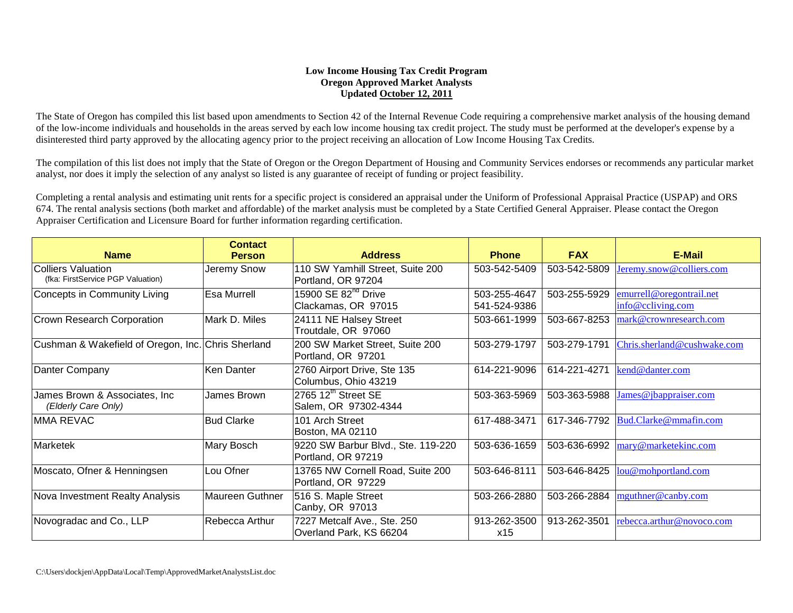## **Low Income Housing Tax Credit Program Oregon Approved Market Analysts Updated October 12, 2011**

The State of Oregon has compiled this list based upon amendments to Section 42 of the Internal Revenue Code requiring a comprehensive market analysis of the housing demand of the low-income individuals and households in the areas served by each low income housing tax credit project. The study must be performed at the developer's expense by a disinterested third party approved by the allocating agency prior to the project receiving an allocation of Low Income Housing Tax Credits.

The compilation of this list does not imply that the State of Oregon or the Oregon Department of Housing and Community Services endorses or recommends any particular market analyst, nor does it imply the selection of any analyst so listed is any guarantee of receipt of funding or project feasibility.

Completing a rental analysis and estimating unit rents for a specific project is considered an appraisal under the Uniform of Professional Appraisal Practice (USPAP) and ORS 674. The rental analysis sections (both market and affordable) of the market analysis must be completed by a State Certified General Appraiser. Please contact the Oregon Appraiser Certification and Licensure Board for further information regarding certification.

| <b>Name</b>                                                    | <b>Contact</b><br><b>Person</b> | <b>Address</b>                                            | <b>Phone</b>                 | <b>FAX</b>   | E-Mail                                        |
|----------------------------------------------------------------|---------------------------------|-----------------------------------------------------------|------------------------------|--------------|-----------------------------------------------|
| <b>Colliers Valuation</b><br>(fka: FirstService PGP Valuation) | Jeremy Snow                     | 110 SW Yamhill Street, Suite 200<br>Portland, OR 97204    | 503-542-5409                 | 503-542-5809 | Jeremy.snow@colliers.com                      |
| Concepts in Community Living                                   | <b>Esa Murrell</b>              | 15900 SE 82 <sup>nd</sup> Drive<br>Clackamas, OR 97015    | 503-255-4647<br>541-524-9386 | 503-255-5929 | emurrell@oregontrail.net<br>info@ccliving.com |
| Crown Research Corporation                                     | Mark D. Miles                   | 24111 NE Halsey Street<br>Troutdale, OR 97060             | 503-661-1999                 | 503-667-8253 | mark@crownresearch.com                        |
| Cushman & Wakefield of Oregon, Inc. Chris Sherland             |                                 | 200 SW Market Street, Suite 200<br>Portland, OR 97201     | 503-279-1797                 | 503-279-1791 | Chris.sherland@cushwake.com                   |
| Danter Company                                                 | Ken Danter                      | 2760 Airport Drive, Ste 135<br>Columbus, Ohio 43219       | 614-221-9096                 | 614-221-4271 | kend@danter.com                               |
| James Brown & Associates, Inc.<br>(Elderly Care Only)          | James Brown                     | $2765$ 12 <sup>th</sup> Street SE<br>Salem, OR 97302-4344 | 503-363-5969                 | 503-363-5988 | James@jbappraiser.com                         |
| <b>MMA REVAC</b>                                               | <b>Bud Clarke</b>               | 101 Arch Street<br>Boston, MA 02110                       | 617-488-3471                 | 617-346-7792 | Bud.Clarke@mmafin.com                         |
| Marketek                                                       | Mary Bosch                      | 9220 SW Barbur Blvd., Ste. 119-220<br>Portland, OR 97219  | 503-636-1659                 | 503-636-6992 | mary@marketekinc.com                          |
| Moscato, Ofner & Henningsen                                    | Lou Ofner                       | 13765 NW Cornell Road, Suite 200<br>Portland, OR 97229    | 503-646-8111                 | 503-646-8425 | lou@mohportland.com                           |
| Nova Investment Realty Analysis                                | Maureen Guthner                 | 516 S. Maple Street<br>Canby, OR 97013                    | 503-266-2880                 | 503-266-2884 | mguthner@canby.com                            |
| Novogradac and Co., LLP                                        | Rebecca Arthur                  | 7227 Metcalf Ave., Ste. 250<br>Overland Park, KS 66204    | 913-262-3500<br>x15          | 913-262-3501 | rebecca.arthur@novoco.com                     |